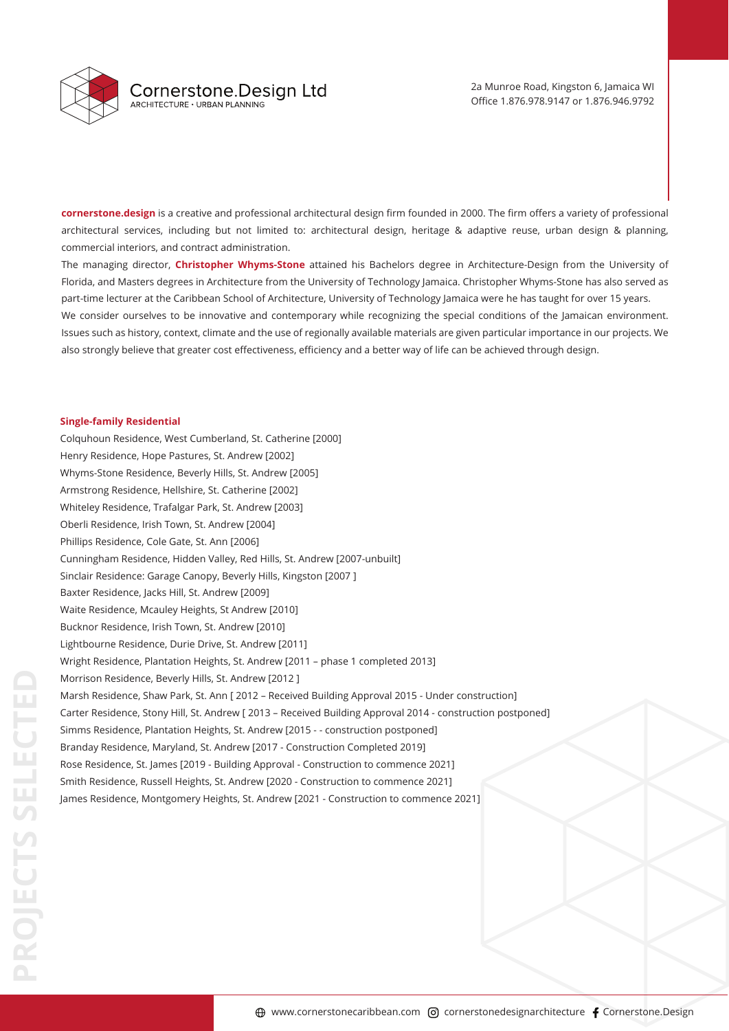

**cornerstone.design** is a creative and professional architectural design firm founded in 2000. The firm offers a variety of professional architectural services, including but not limited to: architectural design, heritage & adaptive reuse, urban design & planning, commercial interiors, and contract administration.

The managing director, **Christopher Whyms-Stone** attained his Bachelors degree in Architecture-Design from the University of Florida, and Masters degrees in Architecture from the University of Technology Jamaica. Christopher Whyms-Stone has also served as part-time lecturer at the Caribbean School of Architecture, University of Technology Jamaica were he has taught for over 15 years. We consider ourselves to be innovative and contemporary while recognizing the special conditions of the Jamaican environment. Issues such as history, context, climate and the use of regionally available materials are given particular importance in our projects. We also strongly believe that greater cost effectiveness, efficiency and a better way of life can be achieved through design.

# **Single-family Residential**

Colquhoun Residence, West Cumberland, St. Catherine [2000] Henry Residence, Hope Pastures, St. Andrew [2002] Whyms-Stone Residence, Beverly Hills, St. Andrew [2005] Armstrong Residence, Hellshire, St. Catherine [2002] Whiteley Residence, Trafalgar Park, St. Andrew [2003] Oberli Residence, Irish Town, St. Andrew [2004] Phillips Residence, Cole Gate, St. Ann [2006] Cunningham Residence, Hidden Valley, Red Hills, St. Andrew [2007-unbuilt] Sinclair Residence: Garage Canopy, Beverly Hills, Kingston [2007 ] Baxter Residence, Jacks Hill, St. Andrew [2009] Waite Residence, Mcauley Heights, St Andrew [2010] Bucknor Residence, Irish Town, St. Andrew [2010] Lightbourne Residence, Durie Drive, St. Andrew [2011] Wright Residence, Plantation Heights, St. Andrew [2011 – phase 1 completed 2013] Morrison Residence, Beverly Hills, St. Andrew [2012 ] Marsh Residence, Shaw Park, St. Ann [ 2012 – Received Building Approval 2015 - Under construction] Carter Residence, Stony Hill, St. Andrew [ 2013 – Received Building Approval 2014 - construction postponed] Simms Residence, Plantation Heights, St. Andrew [2015 - - construction postponed] Branday Residence, Maryland, St. Andrew [2017 - Construction Completed 2019] Rose Residence, St. James [2019 - Building Approval - Construction to commence 2021] Smith Residence, Russell Heights, St. Andrew [2020 - Construction to commence 2021] James Residence, Montgomery Heights, St. Andrew [2021 - Construction to commence 2021]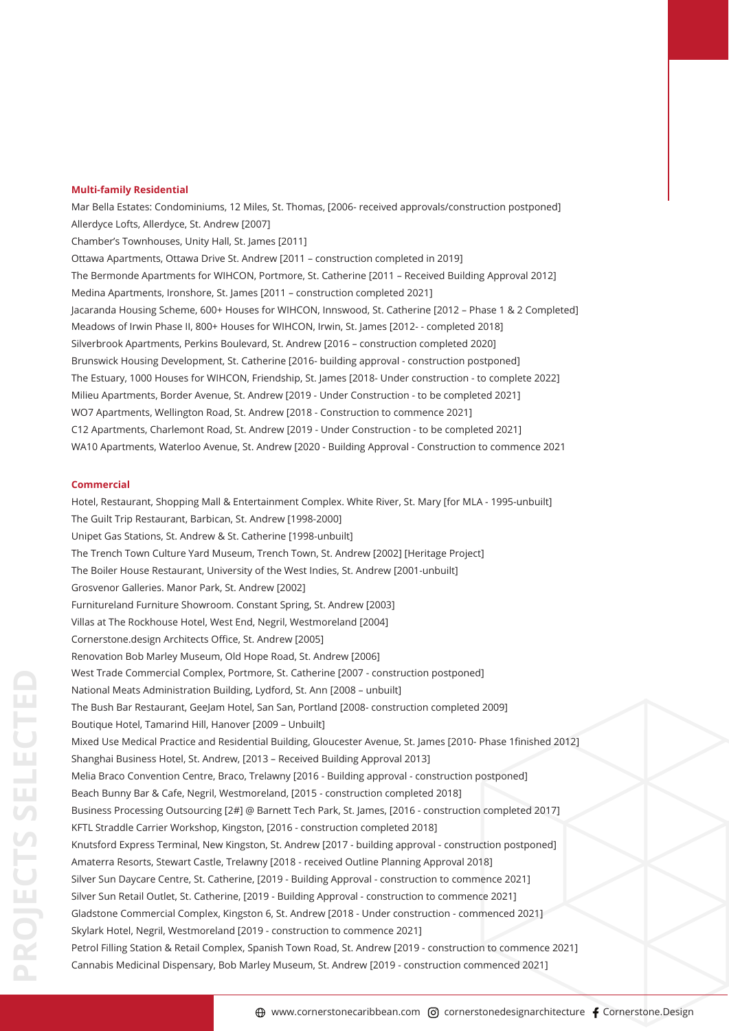#### **Multi-family Residential**

Mar Bella Estates: Condominiums, 12 Miles, St. Thomas, [2006- received approvals/construction postponed] Allerdyce Lofts, Allerdyce, St. Andrew [2007] Chamber's Townhouses, Unity Hall, St. James [2011] Ottawa Apartments, Ottawa Drive St. Andrew [2011 – construction completed in 2019] The Bermonde Apartments for WIHCON, Portmore, St. Catherine [2011 – Received Building Approval 2012] Medina Apartments, Ironshore, St. James [2011 – construction completed 2021] Jacaranda Housing Scheme, 600+ Houses for WIHCON, Innswood, St. Catherine [2012 – Phase 1 & 2 Completed] Meadows of Irwin Phase II, 800+ Houses for WIHCON, Irwin, St. James [2012- - completed 2018] Silverbrook Apartments, Perkins Boulevard, St. Andrew [2016 – construction completed 2020] Brunswick Housing Development, St. Catherine [2016- building approval - construction postponed] The Estuary, 1000 Houses for WIHCON, Friendship, St. James [2018- Under construction - to complete 2022] Milieu Apartments, Border Avenue, St. Andrew [2019 - Under Construction - to be completed 2021] WO7 Apartments, Wellington Road, St. Andrew [2018 - Construction to commence 2021] C12 Apartments, Charlemont Road, St. Andrew [2019 - Under Construction - to be completed 2021] WA10 Apartments, Waterloo Avenue, St. Andrew [2020 - Building Approval - Construction to commence 2021

## **Commercial**

Hotel, Restaurant, Shopping Mall & Entertainment Complex. White River, St. Mary [for MLA - 1995-unbuilt] The Guilt Trip Restaurant, Barbican, St. Andrew [1998-2000] Unipet Gas Stations, St. Andrew & St. Catherine [1998-unbuilt] The Trench Town Culture Yard Museum, Trench Town, St. Andrew [2002] [Heritage Project] The Boiler House Restaurant, University of the West Indies, St. Andrew [2001-unbuilt] Grosvenor Galleries. Manor Park, St. Andrew [2002] Furnitureland Furniture Showroom. Constant Spring, St. Andrew [2003] Villas at The Rockhouse Hotel, West End, Negril, Westmoreland [2004] Cornerstone.design Architects Office, St. Andrew [2005] Renovation Bob Marley Museum, Old Hope Road, St. Andrew [2006] West Trade Commercial Complex, Portmore, St. Catherine [2007 - construction postponed] National Meats Administration Building, Lydford, St. Ann [2008 – unbuilt] The Bush Bar Restaurant, GeeJam Hotel, San San, Portland [2008- construction completed 2009] Boutique Hotel, Tamarind Hill, Hanover [2009 – Unbuilt] Mixed Use Medical Practice and Residential Building, Gloucester Avenue, St. James [2010- Phase 1finished 2012] Shanghai Business Hotel, St. Andrew, [2013 – Received Building Approval 2013] Melia Braco Convention Centre, Braco, Trelawny [2016 - Building approval - construction postponed] Beach Bunny Bar & Cafe, Negril, Westmoreland, [2015 - construction completed 2018] Business Processing Outsourcing [2#] @ Barnett Tech Park, St. James, [2016 - construction completed 2017] KFTL Straddle Carrier Workshop, Kingston, [2016 - construction completed 2018] Knutsford Express Terminal, New Kingston, St. Andrew [2017 - building approval - construction postponed] Amaterra Resorts, Stewart Castle, Trelawny [2018 - received Outline Planning Approval 2018] Silver Sun Daycare Centre, St. Catherine, [2019 - Building Approval - construction to commence 2021] Silver Sun Retail Outlet, St. Catherine, [2019 - Building Approval - construction to commence 2021] Gladstone Commercial Complex, Kingston 6, St. Andrew [2018 - Under construction - commenced 2021] Skylark Hotel, Negril, Westmoreland [2019 - construction to commence 2021] Petrol Filling Station & Retail Complex, Spanish Town Road, St. Andrew [2019 - construction to commence 2021] Cannabis Medicinal Dispensary, Bob Marley Museum, St. Andrew [2019 - construction commenced 2021]